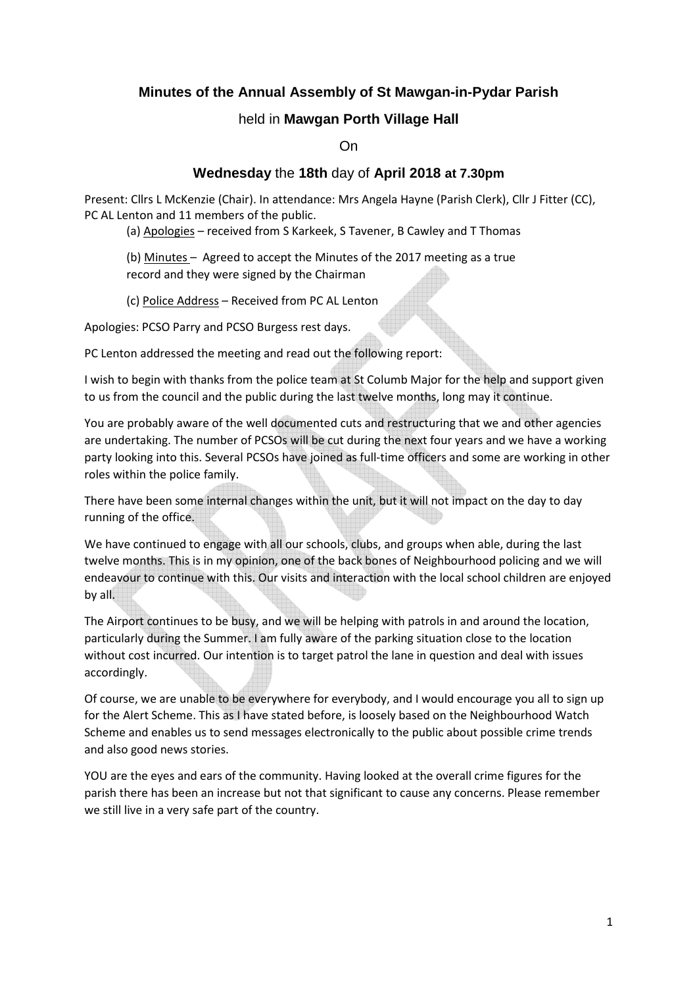# **Minutes of the Annual Assembly of St Mawgan-in-Pydar Parish**

## held in **Mawgan Porth Village Hall**

On

## **Wednesday** the **18th** day of **April 2018 at 7.30pm**

Present: Cllrs L McKenzie (Chair). In attendance: Mrs Angela Hayne (Parish Clerk), Cllr J Fitter (CC), PC AL Lenton and 11 members of the public.

(a) Apologies – received from S Karkeek, S Tavener, B Cawley and T Thomas

 (b) Minutes – Agreed to accept the Minutes of the 2017 meeting as a true record and they were signed by the Chairman

(c) Police Address – Received from PC AL Lenton

Apologies: PCSO Parry and PCSO Burgess rest days.

PC Lenton addressed the meeting and read out the following report:

I wish to begin with thanks from the police team at St Columb Major for the help and support given to us from the council and the public during the last twelve months, long may it continue.

You are probably aware of the well documented cuts and restructuring that we and other agencies are undertaking. The number of PCSOs will be cut during the next four years and we have a working party looking into this. Several PCSOs have joined as full-time officers and some are working in other roles within the police family.

There have been some internal changes within the unit, but it will not impact on the day to day running of the office.

We have continued to engage with all our schools, clubs, and groups when able, during the last twelve months. This is in my opinion, one of the back bones of Neighbourhood policing and we will endeavour to continue with this. Our visits and interaction with the local school children are enjoyed by all.

The Airport continues to be busy, and we will be helping with patrols in and around the location, particularly during the Summer. I am fully aware of the parking situation close to the location without cost incurred. Our intention is to target patrol the lane in question and deal with issues accordingly.

Of course, we are unable to be everywhere for everybody, and I would encourage you all to sign up for the Alert Scheme. This as I have stated before, is loosely based on the Neighbourhood Watch Scheme and enables us to send messages electronically to the public about possible crime trends and also good news stories.

YOU are the eyes and ears of the community. Having looked at the overall crime figures for the parish there has been an increase but not that significant to cause any concerns. Please remember we still live in a very safe part of the country.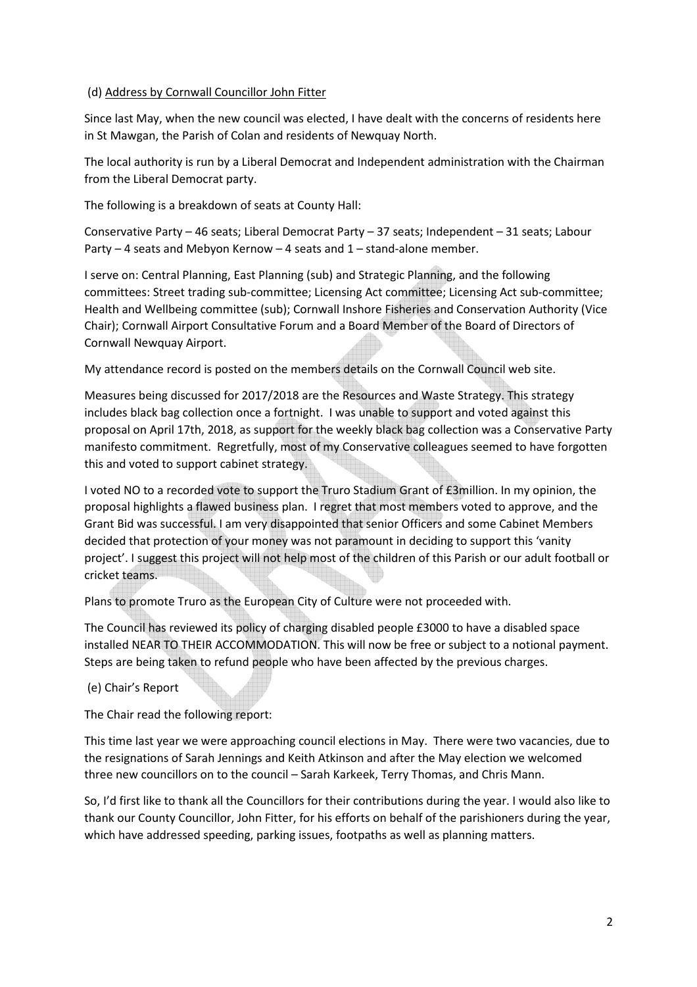#### (d) Address by Cornwall Councillor John Fitter

Since last May, when the new council was elected, I have dealt with the concerns of residents here in St Mawgan, the Parish of Colan and residents of Newquay North.

The local authority is run by a Liberal Democrat and Independent administration with the Chairman from the Liberal Democrat party.

The following is a breakdown of seats at County Hall:

Conservative Party – 46 seats; Liberal Democrat Party – 37 seats; Independent – 31 seats; Labour Party – 4 seats and Mebyon Kernow – 4 seats and 1 – stand-alone member.

I serve on: Central Planning, East Planning (sub) and Strategic Planning, and the following committees: Street trading sub-committee; Licensing Act committee; Licensing Act sub-committee; Health and Wellbeing committee (sub); Cornwall Inshore Fisheries and Conservation Authority (Vice Chair); Cornwall Airport Consultative Forum and a Board Member of the Board of Directors of Cornwall Newquay Airport.

My attendance record is posted on the members details on the Cornwall Council web site.

Measures being discussed for 2017/2018 are the Resources and Waste Strategy. This strategy includes black bag collection once a fortnight. I was unable to support and voted against this proposal on April 17th, 2018, as support for the weekly black bag collection was a Conservative Party manifesto commitment. Regretfully, most of my Conservative colleagues seemed to have forgotten this and voted to support cabinet strategy.

I voted NO to a recorded vote to support the Truro Stadium Grant of £3million. In my opinion, the proposal highlights a flawed business plan. I regret that most members voted to approve, and the Grant Bid was successful. I am very disappointed that senior Officers and some Cabinet Members decided that protection of your money was not paramount in deciding to support this 'vanity project'. I suggest this project will not help most of the children of this Parish or our adult football or cricket teams.

Plans to promote Truro as the European City of Culture were not proceeded with.

The Council has reviewed its policy of charging disabled people £3000 to have a disabled space installed NEAR TO THEIR ACCOMMODATION. This will now be free or subject to a notional payment. Steps are being taken to refund people who have been affected by the previous charges.

(e) Chair's Report

The Chair read the following report:

This time last year we were approaching council elections in May. There were two vacancies, due to the resignations of Sarah Jennings and Keith Atkinson and after the May election we welcomed three new councillors on to the council – Sarah Karkeek, Terry Thomas, and Chris Mann.

So, I'd first like to thank all the Councillors for their contributions during the year. I would also like to thank our County Councillor, John Fitter, for his efforts on behalf of the parishioners during the year, which have addressed speeding, parking issues, footpaths as well as planning matters.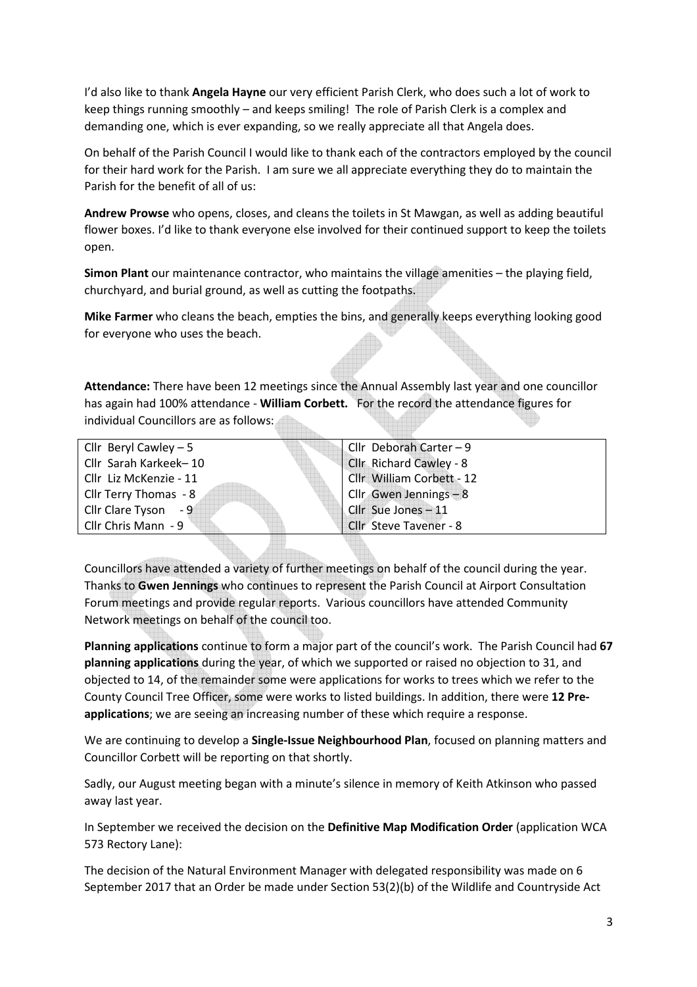I'd also like to thank **Angela Hayne** our very efficient Parish Clerk, who does such a lot of work to keep things running smoothly – and keeps smiling! The role of Parish Clerk is a complex and demanding one, which is ever expanding, so we really appreciate all that Angela does.

On behalf of the Parish Council I would like to thank each of the contractors employed by the council for their hard work for the Parish. I am sure we all appreciate everything they do to maintain the Parish for the benefit of all of us:

**Andrew Prowse** who opens, closes, and cleans the toilets in St Mawgan, as well as adding beautiful flower boxes. I'd like to thank everyone else involved for their continued support to keep the toilets open.

**Simon Plant** our maintenance contractor, who maintains the village amenities – the playing field, churchyard, and burial ground, as well as cutting the footpaths.

**Mike Farmer** who cleans the beach, empties the bins, and generally keeps everything looking good for everyone who uses the beach.

**Attendance:** There have been 12 meetings since the Annual Assembly last year and one councillor has again had 100% attendance - **William Corbett.** For the record the attendance figures for individual Councillors are as follows:

| Cllr Beryl Cawley $-5$ | Cllr Deborah Carter - 9   |
|------------------------|---------------------------|
| Cllr Sarah Karkeek-10  | Cllr Richard Cawley - 8   |
| Cllr Liz McKenzie - 11 | Cllr William Corbett - 12 |
| Cllr Terry Thomas - 8  | Cllr Gwen Jennings - 8    |
| Cllr Clare Tyson - 9   | Cllr Sue Jones - 11       |
| Cllr Chris Mann - 9    | Cllr Steve Tavener - 8    |
|                        |                           |

Councillors have attended a variety of further meetings on behalf of the council during the year. Thanks to **Gwen Jennings** who continues to represent the Parish Council at Airport Consultation Forum meetings and provide regular reports. Various councillors have attended Community Network meetings on behalf of the council too.

**Planning applications** continue to form a major part of the council's work. The Parish Council had **67 planning applications** during the year, of which we supported or raised no objection to 31, and objected to 14, of the remainder some were applications for works to trees which we refer to the County Council Tree Officer, some were works to listed buildings. In addition, there were **12 Preapplications**; we are seeing an increasing number of these which require a response.

We are continuing to develop a **Single-Issue Neighbourhood Plan**, focused on planning matters and Councillor Corbett will be reporting on that shortly.

Sadly, our August meeting began with a minute's silence in memory of Keith Atkinson who passed away last year.

In September we received the decision on the **Definitive Map Modification Order** (application WCA 573 Rectory Lane):

The decision of the Natural Environment Manager with delegated responsibility was made on 6 September 2017 that an Order be made under Section 53(2)(b) of the Wildlife and Countryside Act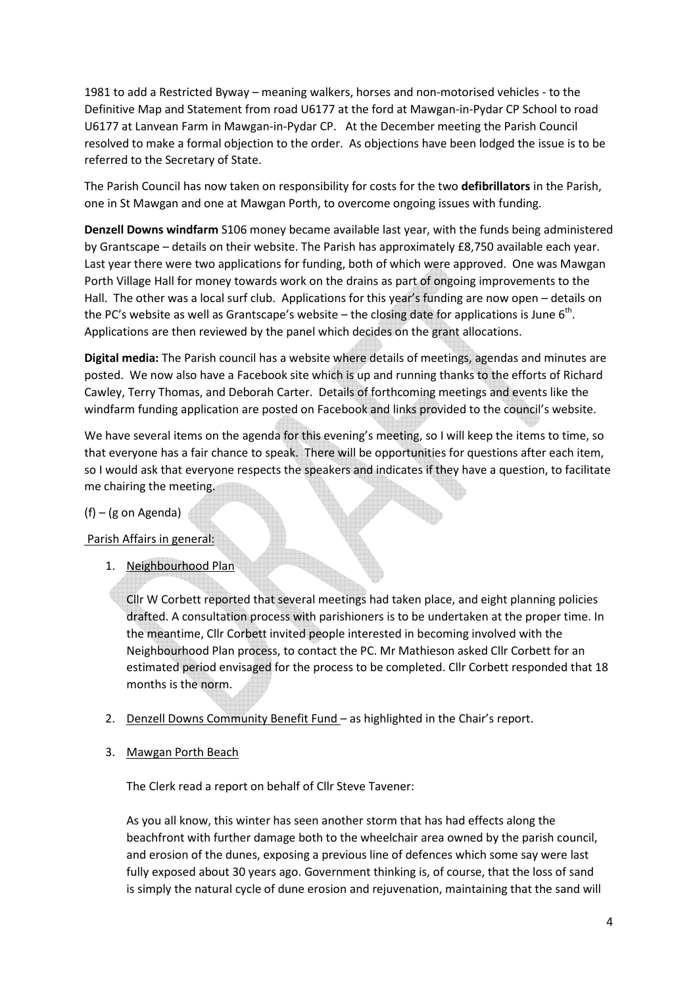1981 to add a Restricted Byway – meaning walkers, horses and non-motorised vehicles - to the Definitive Map and Statement from road U6177 at the ford at Mawgan-in-Pydar CP School to road U6177 at Lanvean Farm in Mawgan-in-Pydar CP. At the December meeting the Parish Council resolved to make a formal objection to the order. As objections have been lodged the issue is to be referred to the Secretary of State.

The Parish Council has now taken on responsibility for costs for the two **defibrillators** in the Parish, one in St Mawgan and one at Mawgan Porth, to overcome ongoing issues with funding.

**Denzell Downs windfarm** S106 money became available last year, with the funds being administered by Grantscape – details on their website. The Parish has approximately £8,750 available each year. Last year there were two applications for funding, both of which were approved. One was Mawgan Porth Village Hall for money towards work on the drains as part of ongoing improvements to the Hall. The other was a local surf club. Applications for this year's funding are now open – details on the PC's website as well as Grantscape's website – the closing date for applications is June 6<sup>th</sup>. Applications are then reviewed by the panel which decides on the grant allocations.

**Digital media:** The Parish council has a website where details of meetings, agendas and minutes are posted. We now also have a Facebook site which is up and running thanks to the efforts of Richard Cawley, Terry Thomas, and Deborah Carter. Details of forthcoming meetings and events like the windfarm funding application are posted on Facebook and links provided to the council's website.

We have several items on the agenda for this evening's meeting, so I will keep the items to time, so that everyone has a fair chance to speak. There will be opportunities for questions after each item, so I would ask that everyone respects the speakers and indicates if they have a question, to facilitate me chairing the meeting.

#### (f) – (g on Agenda)

Parish Affairs in general:

1. Neighbourhood Plan

Cllr W Corbett reported that several meetings had taken place, and eight planning policies drafted. A consultation process with parishioners is to be undertaken at the proper time. In the meantime, Cllr Corbett invited people interested in becoming involved with the Neighbourhood Plan process, to contact the PC. Mr Mathieson asked Cllr Corbett for an estimated period envisaged for the process to be completed. Cllr Corbett responded that 18 months is the norm.

- 2. Denzell Downs Community Benefit Fund as highlighted in the Chair's report.
- 3. Mawgan Porth Beach

The Clerk read a report on behalf of Cllr Steve Tavener:

As you all know, this winter has seen another storm that has had effects along the beachfront with further damage both to the wheelchair area owned by the parish council, and erosion of the dunes, exposing a previous line of defences which some say were last fully exposed about 30 years ago. Government thinking is, of course, that the loss of sand is simply the natural cycle of dune erosion and rejuvenation, maintaining that the sand will